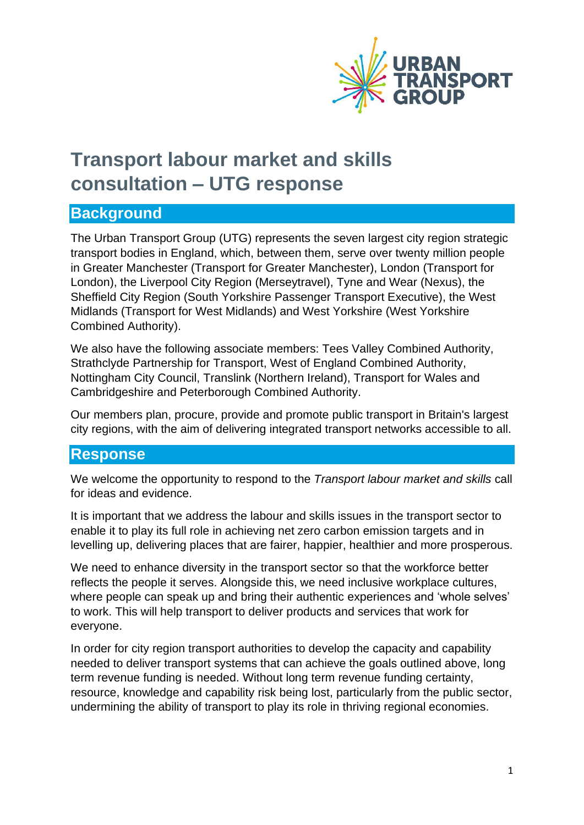

# **Transport labour market and skills consultation – UTG response**

## **Background**

The Urban Transport Group (UTG) represents the seven largest city region strategic transport bodies in England, which, between them, serve over twenty million people in Greater Manchester (Transport for Greater Manchester), London (Transport for London), the Liverpool City Region (Merseytravel), Tyne and Wear (Nexus), the Sheffield City Region (South Yorkshire Passenger Transport Executive), the West Midlands (Transport for West Midlands) and West Yorkshire (West Yorkshire Combined Authority).

We also have the following associate members: Tees Valley Combined Authority, Strathclyde Partnership for Transport, West of England Combined Authority, Nottingham City Council, Translink (Northern Ireland), Transport for Wales and Cambridgeshire and Peterborough Combined Authority.

Our members plan, procure, provide and promote public transport in Britain's largest city regions, with the aim of delivering integrated transport networks accessible to all.

### **Response**

We welcome the opportunity to respond to the *Transport labour market and skills* call for ideas and evidence.

It is important that we address the labour and skills issues in the transport sector to enable it to play its full role in achieving net zero carbon emission targets and in levelling up, delivering places that are fairer, happier, healthier and more prosperous.

We need to enhance diversity in the transport sector so that the workforce better reflects the people it serves. Alongside this, we need inclusive workplace cultures, where people can speak up and bring their authentic experiences and 'whole selves' to work. This will help transport to deliver products and services that work for everyone.

In order for city region transport authorities to develop the capacity and capability needed to deliver transport systems that can achieve the goals outlined above, long term revenue funding is needed. Without long term revenue funding certainty, resource, knowledge and capability risk being lost, particularly from the public sector, undermining the ability of transport to play its role in thriving regional economies.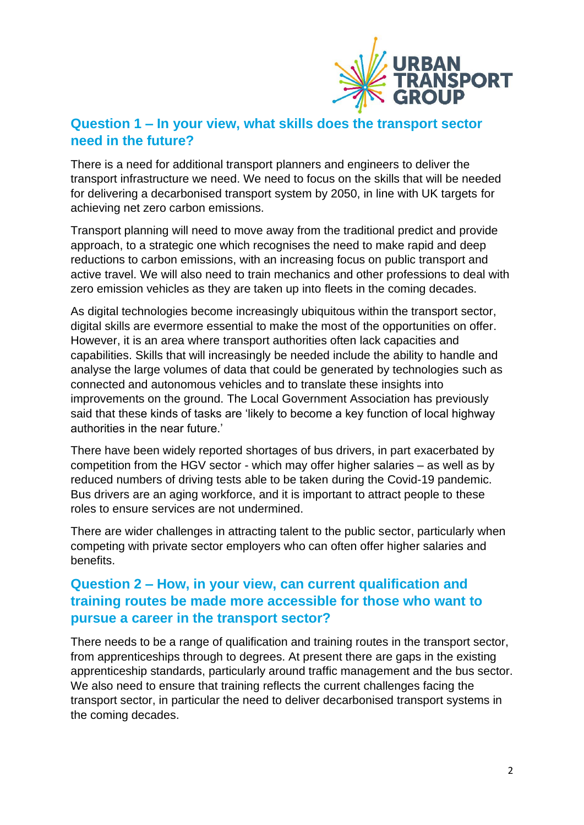

#### **Question 1 – In your view, what skills does the transport sector need in the future?**

There is a need for additional transport planners and engineers to deliver the transport infrastructure we need. We need to focus on the skills that will be needed for delivering a decarbonised transport system by 2050, in line with UK targets for achieving net zero carbon emissions.

Transport planning will need to move away from the traditional predict and provide approach, to a strategic one which recognises the need to make rapid and deep reductions to carbon emissions, with an increasing focus on public transport and active travel. We will also need to train mechanics and other professions to deal with zero emission vehicles as they are taken up into fleets in the coming decades.

As digital technologies become increasingly ubiquitous within the transport sector, digital skills are evermore essential to make the most of the opportunities on offer. However, it is an area where transport authorities often lack capacities and capabilities. Skills that will increasingly be needed include the ability to handle and analyse the large volumes of data that could be generated by technologies such as connected and autonomous vehicles and to translate these insights into improvements on the ground. The Local Government Association has previously said that these kinds of tasks are 'likely to become a key function of local highway authorities in the near future.'

There have been widely reported shortages of bus drivers, in part exacerbated by competition from the HGV sector - which may offer higher salaries – as well as by reduced numbers of driving tests able to be taken during the Covid-19 pandemic. Bus drivers are an aging workforce, and it is important to attract people to these roles to ensure services are not undermined.

There are wider challenges in attracting talent to the public sector, particularly when competing with private sector employers who can often offer higher salaries and benefits.

### **Question 2 – How, in your view, can current qualification and training routes be made more accessible for those who want to pursue a career in the transport sector?**

There needs to be a range of qualification and training routes in the transport sector, from apprenticeships through to degrees. At present there are gaps in the existing apprenticeship standards, particularly around traffic management and the bus sector. We also need to ensure that training reflects the current challenges facing the transport sector, in particular the need to deliver decarbonised transport systems in the coming decades.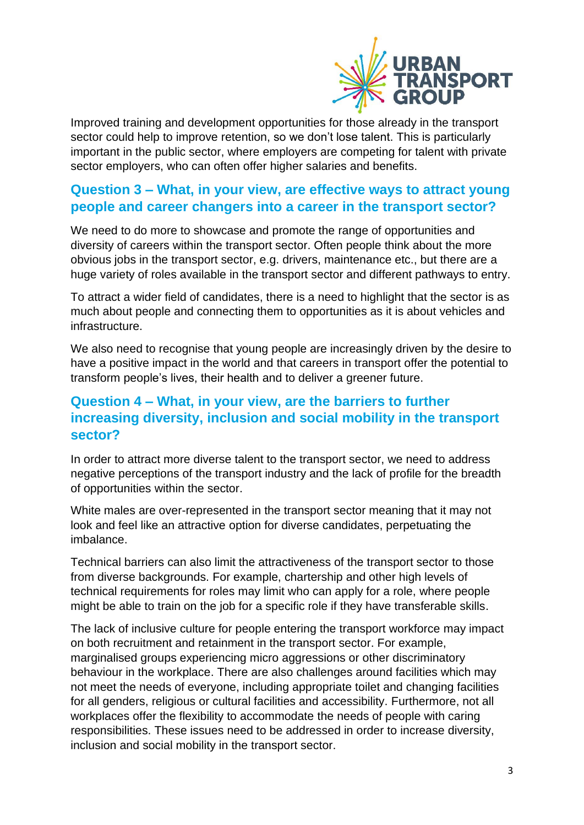

Improved training and development opportunities for those already in the transport sector could help to improve retention, so we don't lose talent. This is particularly important in the public sector, where employers are competing for talent with private sector employers, who can often offer higher salaries and benefits.

### **Question 3 – What, in your view, are effective ways to attract young people and career changers into a career in the transport sector?**

We need to do more to showcase and promote the range of opportunities and diversity of careers within the transport sector. Often people think about the more obvious jobs in the transport sector, e.g. drivers, maintenance etc., but there are a huge variety of roles available in the transport sector and different pathways to entry.

To attract a wider field of candidates, there is a need to highlight that the sector is as much about people and connecting them to opportunities as it is about vehicles and infrastructure.

We also need to recognise that young people are increasingly driven by the desire to have a positive impact in the world and that careers in transport offer the potential to transform people's lives, their health and to deliver a greener future.

## **Question 4 – What, in your view, are the barriers to further increasing diversity, inclusion and social mobility in the transport sector?**

In order to attract more diverse talent to the transport sector, we need to address negative perceptions of the transport industry and the lack of profile for the breadth of opportunities within the sector.

White males are over-represented in the transport sector meaning that it may not look and feel like an attractive option for diverse candidates, perpetuating the imbalance.

Technical barriers can also limit the attractiveness of the transport sector to those from diverse backgrounds. For example, chartership and other high levels of technical requirements for roles may limit who can apply for a role, where people might be able to train on the job for a specific role if they have transferable skills.

The lack of inclusive culture for people entering the transport workforce may impact on both recruitment and retainment in the transport sector. For example, marginalised groups experiencing micro aggressions or other discriminatory behaviour in the workplace. There are also challenges around facilities which may not meet the needs of everyone, including appropriate toilet and changing facilities for all genders, religious or cultural facilities and accessibility. Furthermore, not all workplaces offer the flexibility to accommodate the needs of people with caring responsibilities. These issues need to be addressed in order to increase diversity, inclusion and social mobility in the transport sector.